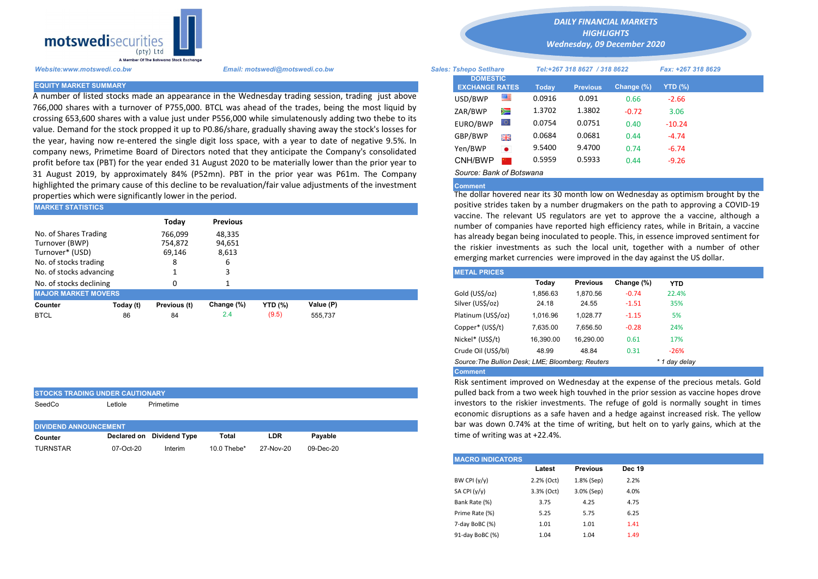

STOCKS TRADING UNDER CAUTIONARY

A number of listed stocks made an appearance in the Wednesday trading session, trading just above 766,000 shares with a turnover of P755,000. BTCL was ahead of the trades, being the most liquid by crossing 653,600 shares with a value just under P556,000 while simulatenously adding two thebe to its value. Demand for the stock propped it up to P0.86/share, gradually shaving away the stock's losses for the year, having now re-entered the single digit loss space, with a year to date of negative 9.5%. In company news, Primetime Board of Directors noted that they anticipate the Company's consolidated profit before tax (PBT) for the year ended 31 August 2020 to be materially lower than the prior year to 31 August 2019, by approximately 84% (P52mn). PBT in the prior year was P61m. The Company highlighted the primary cause of this decline to be revaluation/fair value adjustments of the investment properties which were significantly lower in the period.

| <b>MARKET STATISTICS</b>                                                            |           |                                   |                           | positive strides taken by a number drugmakers on the path to appro<br>vaccine. The relevant US regulators are yet to approve the a vac |           |                                                                                                                                                                                                                   |          |                 |            |            |  |
|-------------------------------------------------------------------------------------|-----------|-----------------------------------|---------------------------|----------------------------------------------------------------------------------------------------------------------------------------|-----------|-------------------------------------------------------------------------------------------------------------------------------------------------------------------------------------------------------------------|----------|-----------------|------------|------------|--|
|                                                                                     |           | Today                             | <b>Previous</b>           |                                                                                                                                        |           | number of companies have reported high efficiency rates, while in E                                                                                                                                               |          |                 |            |            |  |
| No. of Shares Trading<br>Turnover (BWP)<br>Turnover* (USD)<br>No. of stocks trading |           | 766.099<br>754,872<br>69,146<br>8 | 48.335<br>94,651<br>8,613 |                                                                                                                                        |           | has already began being inoculated to people. This, in essence improve<br>the riskier investments as such the local unit, together with a n<br>emerging market currencies were improved in the day against the US |          |                 |            |            |  |
| No. of stocks advancing                                                             |           |                                   |                           |                                                                                                                                        |           | <b>METAL PRICES</b>                                                                                                                                                                                               |          |                 |            |            |  |
| No. of stocks declining                                                             |           |                                   |                           |                                                                                                                                        |           |                                                                                                                                                                                                                   | Today    | <b>Previous</b> | Change (%) | <b>YTD</b> |  |
| <b>MAJOR MARKET MOVERS</b>                                                          |           |                                   |                           |                                                                                                                                        |           | Gold (US\$/oz)                                                                                                                                                                                                    | 1,856.63 | 1.870.56        | $-0.74$    | 22.4%      |  |
| Counter                                                                             | Today (t) | Previous (t)                      | Change (%)                | <b>YTD (%)</b>                                                                                                                         | Value (P) | Silver (US\$/oz)                                                                                                                                                                                                  | 24.18    | 24.55           | $-1.51$    | 35%        |  |
| <b>BTCL</b>                                                                         | 86        | 84                                | 2.4                       | (9.5)                                                                                                                                  | 555.737   | Platinum (US\$/oz)                                                                                                                                                                                                | 1,016.96 | 1.028.77        | $-1.15$    | 5%         |  |

| SeedCo                        | ∟etlole   | Primetime                 |                |           |           |  |  |  |  |  |  |  |
|-------------------------------|-----------|---------------------------|----------------|-----------|-----------|--|--|--|--|--|--|--|
| <b>DIVIDEND ANNOUNCEMENT.</b> |           |                           |                |           |           |  |  |  |  |  |  |  |
| Counter                       |           | Declared on Dividend Type | Total          | LDR       | Pavable   |  |  |  |  |  |  |  |
| <b>TURNSTAR</b>               | 07-Oct-20 | Interim                   | 10.0 Thebe $*$ | 27-Nov-20 | 09-Dec-20 |  |  |  |  |  |  |  |

*DAILY FINANCIAL MARKETS*

*HIGHLIGHTS Wednesday, 09 December 2020* 

| Website:www.motswedi.co.bw   | Email: motswedi@motswedi.co.bw                                                                                                                                                                                  | <b>Sales: Tshepo Setlhare</b>            |           |        | Tel:+267 318 8627 / 318 8622 |            | Fax: +267 318 8629 |  |
|------------------------------|-----------------------------------------------------------------------------------------------------------------------------------------------------------------------------------------------------------------|------------------------------------------|-----------|--------|------------------------------|------------|--------------------|--|
| <b>EQUITY MARKET SUMMARY</b> |                                                                                                                                                                                                                 | <b>DOMESTIC</b><br><b>EXCHANGE RATES</b> |           | Today  | <b>Previous</b>              | Change (%) | YTD (%)            |  |
|                              | A number of listed stocks made an appearance in the Wednesday trading session, trading just above                                                                                                               | USD/BWP                                  | 罂         | 0.0916 | 0.091                        | 0.66       | $-2.66$            |  |
|                              | 66,000 shares with a turnover of P755,000. BTCL was ahead of the trades, being the most liquid by                                                                                                               | ZAR/BWP                                  | Ň         | 1.3702 | 1.3802                       | $-0.72$    | 3.06               |  |
|                              | crossing 653,600 shares with a value just under P556,000 while simulatenously adding two thebe to its<br>alue. Demand for the stock propped it up to P0.86/share, gradually shaving away the stock's losses for | EURO/BWP                                 |           | 0.0754 | 0.0751                       | 0.40       | $-10.24$           |  |
|                              | he year, having now re-entered the single digit loss space, with a year to date of negative 9.5%. In                                                                                                            | GBP/BWP                                  | 開開        | 0.0684 | 0.0681                       | 0.44       | $-4.74$            |  |
|                              | company news, Primetime Board of Directors noted that they anticipate the Company's consolidated                                                                                                                | Yen/BWP                                  | $\bullet$ | 9.5400 | 9.4700                       | 0.74       | $-6.74$            |  |
|                              | orofit before tax (PBT) for the year ended 31 August 2020 to be materially lower than the prior year to                                                                                                         | CNH/BWP                                  |           | 0.5959 | 0.5933                       | 0.44       | $-9.26$            |  |
|                              | 31 August 2019, by approximately 84% (P52mn). PBT in the prior year was P61m. The Company                                                                                                                       | Source: Bank of Botswana                 |           |        |                              |            |                    |  |

## Comment

The dollar hovered near its 30 month low on Wednesday as optimism brought by the positive strides taken by a number drugmakers on the path to approving a COVID-19 vaccine. The relevant US regulators are yet to approve the a vaccine, although a number of companies have reported high efficiency rates, while in Britain, a vaccine has already began being inoculated to people. This, in essence improved sentiment for the riskier investments as such the local unit, together with a number of other emerging market currencies were improved in the day against the US dollar.

| <b>METAL PRICES</b>                                                |           |                 |            |            |  |  |  |  |  |
|--------------------------------------------------------------------|-----------|-----------------|------------|------------|--|--|--|--|--|
|                                                                    | Today     | <b>Previous</b> | Change (%) | <b>YTD</b> |  |  |  |  |  |
| Gold (US\$/oz)                                                     | 1.856.63  | 1.870.56        | $-0.74$    | 22.4%      |  |  |  |  |  |
| Silver (US\$/oz)                                                   | 24.18     | 24.55           | $-1.51$    | 35%        |  |  |  |  |  |
| Platinum (US\$/oz)                                                 | 1.016.96  | 1.028.77        | $-1.15$    | 5%         |  |  |  |  |  |
| Copper* (US\$/t)                                                   | 7.635.00  | 7.656.50        | $-0.28$    | 24%        |  |  |  |  |  |
| Nickel* (US\$/t)                                                   | 16.390.00 | 16.290.00       | 0.61       | 17%        |  |  |  |  |  |
| Crude Oil (US\$/bl)                                                | 48.99     | 48.84           | 0.31       | $-26%$     |  |  |  |  |  |
| Source: The Bullion Desk; LME; Bloomberg: Reuters<br>* 1 day delay |           |                 |            |            |  |  |  |  |  |
| <b>Comment</b>                                                     |           |                 |            |            |  |  |  |  |  |

Risk sentiment improved on Wednesday at the expense of the precious metals. Gold pulled back from a two week high touvhed in the prior session as vaccine hopes drove investors to the riskier investments. The refuge of gold is normally sought in times economic disruptions as a safe haven and a hedge against increased risk. The yellow bar was down 0.74% at the time of writing, but helt on to yarly gains, which at the time of writing was at +22.4%.

| <b>MACRO INDICATORS</b> |            |                 |               |
|-------------------------|------------|-----------------|---------------|
|                         | Latest     | <b>Previous</b> | <b>Dec 19</b> |
| BW CPI $(y/y)$          | 2.2% (Oct) | 1.8% (Sep)      | 2.2%          |
| SA CPI (y/y)            | 3.3% (Oct) | 3.0% (Sep)      | 4.0%          |
| Bank Rate (%)           | 3.75       | 4.25            | 4.75          |
| Prime Rate (%)          | 5.25       | 5.75            | 6.25          |
| 7-day BoBC (%)          | 1.01       | 1.01            | 1.41          |
| 91-day BoBC (%)         | 1.04       | 1.04            | 1.49          |